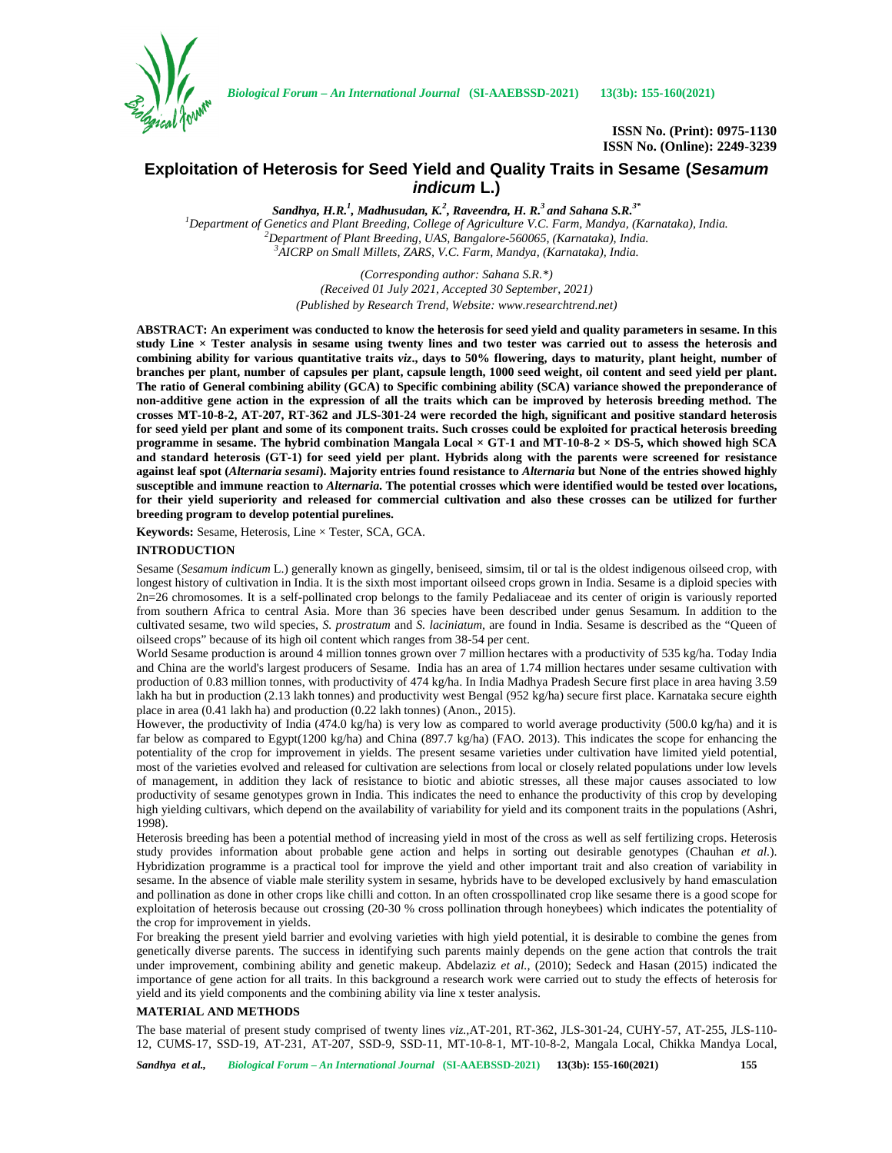

*Biological Forum – An International Journal* **(SI-AAEBSSD-2021) 13(3b): 155-160(2021)**

**ISSN No. (Print): 0975-1130 ISSN No. (Online): 2249-3239**

# **Exploitation of Heterosis for Seed Yield and Quality Traits in Sesame (***Sesamum indicum* **L.)**

*Sandhya, H.R.<sup>1</sup> , Madhusudan, K.<sup>2</sup> , Raveendra, H. R.<sup>3</sup> and Sahana S.R.3\** <sup>1</sup>Department of Genetics and Plant Breeding, College of Agriculture V.C. Farm, Mandya, (Karnataka), India.<br><sup>2</sup>Department of Plant Breeding, UAS, Bangalore-560065, (Karnataka), India.<br><sup>3</sup>AICRP on Small Millets, ZARS, V.C.

> *(Corresponding author: Sahana S.R.\*) (Received 01 July 2021, Accepted 30 September, 2021) (Published by Research Trend, Website: <www.researchtrend.net>)*

**ABSTRACT: An experiment was conducted to know the heterosis for seed yield and quality parameters in sesame. In this study Line × Tester analysis in sesame using twenty lines and two tester was carried out to assess the heterosis and combining ability for various quantitative traits** *viz***., days to 50% flowering, days to maturity, plant height, number of branches per plant, number of capsules per plant, capsule length, 1000 seed weight, oil content and seed yield per plant. The ratio of General combining ability (GCA) to Specific combining ability (SCA) variance showed the preponderance of non-additive gene action in the expression of all the traits which can be improved by heterosis breeding method. The crosses MT-10-8-2, AT-207, RT-362 and JLS-301-24 were recorded the high, significant and positive standard heterosis for seed yield per plant and some of its component traits. Such crosses could be exploited for practical heterosis breeding programme in sesame. The hybrid combination Mangala Local × GT-1 and MT-10-8-2 × DS-5, which showed high SCA and standard heterosis (GT-1) for seed yield per plant. Hybrids along with the parents were screened for resistance against leaf spot (***Alternaria sesami***). Majority entries found resistance to** *Alternaria* **but None of the entries showed highly susceptible and immune reaction to** *Alternaria***. The potential crosses which were identified would be tested over locations, for their yield superiority and released for commercial cultivation and also these crosses can be utilized for further breeding program to develop potential purelines.**

**Keywords:** Sesame, Heterosis, Line × Tester, SCA, GCA.

## **INTRODUCTION**

Sesame (*Sesamum indicum* L.) generally known as gingelly, beniseed, simsim, til or tal is the oldest indigenous oilseed crop, with longest history of cultivation in India. It is the sixth most important oilseed crops grown in India. Sesame is a diploid species with 2n=26 chromosomes. It is a self-pollinated crop belongs to the family Pedaliaceae and its center of origin is variously reported from southern Africa to central Asia. More than 36 species have been described under genus Sesamum. In addition to the cultivated sesame, two wild species, *S. prostratum* and*S. laciniatum*, are found in India. Sesame is described as the "Queen of oilseed crops" because of its high oil content which ranges from 38-54 per cent.

World Sesame production is around 4 million tonnes grown over 7 million hectares with a productivity of 535 kg/ha. Today India and China are the world's largest producers of Sesame. India has an area of 1.74 million hectares under sesame cultivation with production of 0.83 million tonnes, with productivity of 474 kg/ha. In India Madhya Pradesh Secure first place in area having 3.59 lakh ha but in production (2.13 lakh tonnes) and productivity west Bengal (952 kg/ha) secure first place. Karnataka secure eighth place in area (0.41 lakh ha) and production (0.22 lakh tonnes) (Anon., 2015).

However, the productivity of India (474.0 kg/ha) is very low as compared to world average productivity (500.0 kg/ha) and it is far below as compared to Egypt(1200 kg/ha) and China (897.7 kg/ha) (FAO. 2013). This indicates the scope for enhancing the potentiality of the crop for improvement in yields. The present sesame varieties under cultivation have limited yield potential, most of the varieties evolved and released for cultivation are selections from local or closely related populations under low levels of management, in addition they lack of resistance to biotic and abiotic stresses, all these major causes associated to low productivity of sesame genotypes grown in India. This indicates the need to enhance the productivity of this crop by developing high yielding cultivars, which depend on the availability of variability for yield and its component traits in the populations (Ashri, 1998).

Heterosis breeding has been a potential method of increasing yield in most of the cross as well as self fertilizing crops. Heterosis study provides information about probable gene action and helps in sorting out desirable genotypes (Chauhan *et al.*). Hybridization programme is a practical tool for improve the yield and other important trait and also creation of variability in sesame. In the absence of viable male sterility system in sesame, hybrids have to be developed exclusively by hand emasculation and pollination as done in other crops like chilli and cotton. In an often crosspollinated crop like sesame there is a good scope for exploitation of heterosis because out crossing (20-30 % cross pollination through honeybees) which indicates the potentiality of the crop for improvement in yields.

For breaking the present yield barrier and evolving varieties with high yield potential, it is desirable to combine the genes from genetically diverse parents. The success in identifying such parents mainly depends on the gene action that controls the trait under improvement, combining ability and genetic makeup. Abdelaziz *et al.,* (2010); Sedeck and Hasan (2015) indicated the importance of gene action for all traits. In this background a research work were carried out to study the effects of heterosis for yield and its yield components and the combining ability via line x tester analysis.

### **MATERIAL AND METHODS**

The base material of present study comprised of twenty lines *viz.,*AT-201, RT-362, JLS-301-24, CUHY-57, AT-255, JLS-110- 12, CUMS-17, SSD-19, AT-231, AT-207, SSD-9, SSD-11, MT-10-8-1, MT-10-8-2, Mangala Local, Chikka Mandya Local,

*Sandhya et al., Biological Forum – An International Journal* **(SI-AAEBSSD-2021) 13(3b): 155-160(2021) 155**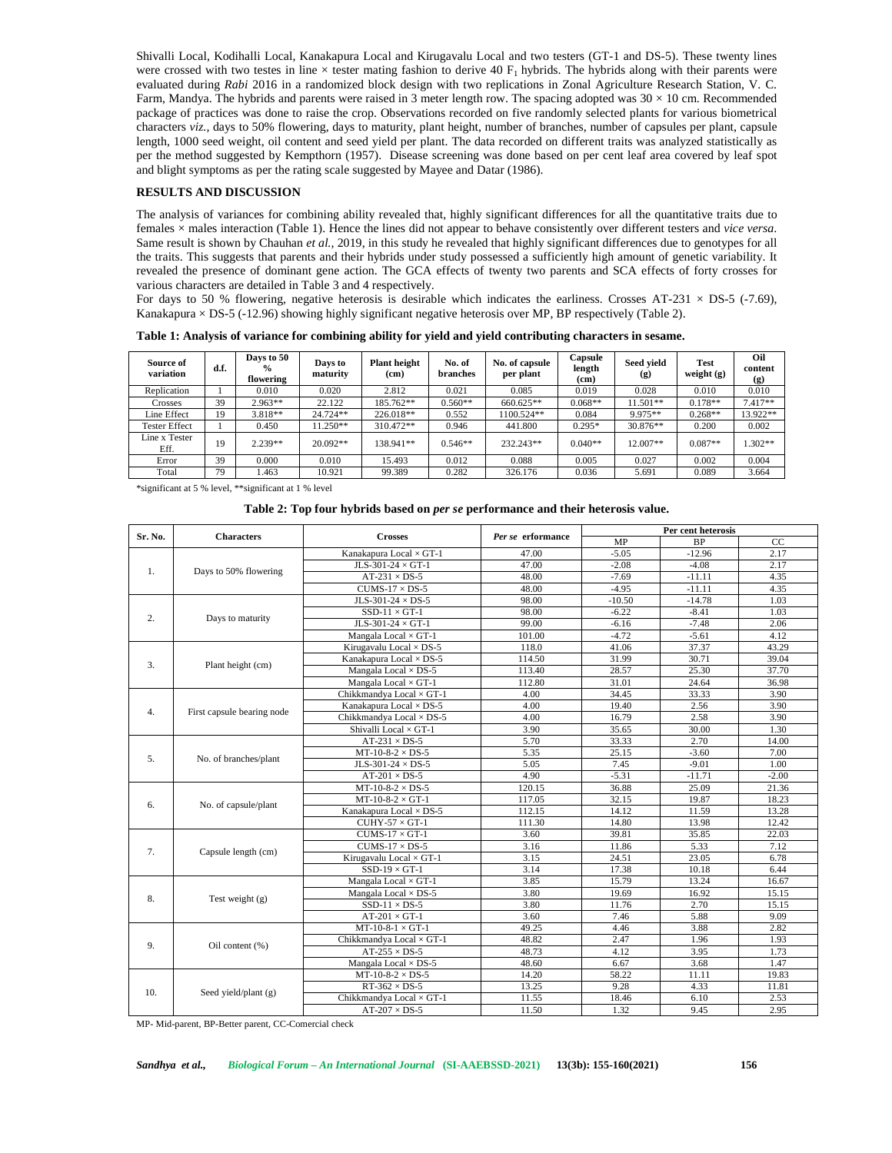Shivalli Local, Kodihalli Local, Kanakapura Local and Kirugavalu Local and two testers (GT-1 and DS-5). These twenty lines were crossed with two testes in line  $\times$  tester mating fashion to derive 40 F<sub>1</sub> hybrids. The hybrids along with their parents were evaluated during *Rabi* 2016 in a randomized block design with two replications in Zonal Agriculture Research Station, V. C. Farm, Mandya. The hybrids and parents were raised in 3 meter length row. The spacing adopted was  $30 \times 10$  cm. Recommended package of practices was done to raise the crop. Observations recorded on five randomly selected plants for various biometrical characters *viz.,* days to 50% flowering, days to maturity, plant height, number of branches, number of capsules per plant, capsule length, 1000 seed weight, oil content and seed yield per plant. The data recorded on different traits was analyzed statistically as per the method suggested by Kempthorn (1957). Disease screening was done based on per cent leaf area covered by leaf spot and blight symptoms as per the rating scale suggested by Mayee and Datar (1986).

## **RESULTS AND DISCUSSION**

The analysis of variances for combining ability revealed that, highly significant differences for all the quantitative traits due to females × males interaction (Table 1). Hence the lines did not appear to behave consistently over different testers and *vice versa*. Same result is shown by Chauhan *et al.,* 2019, in this study he revealed that highly significant differences due to genotypes for all the traits. This suggests that parents and their hybrids under study possessed a sufficiently high amount of genetic variability. It revealed the presence of dominant gene action. The GCA effects of twenty two parents and SCA effects of forty crosses for various characters are detailed in Table 3 and 4 respectively.

For days to 50 % flowering, negative heterosis is desirable which indicates the earliness. Crosses AT-231  $\times$  DS-5 (-7.69), Kanakapura × DS-5 (-12.96) showing highly significant negative heterosis over MP, BP respectively (Table 2).

| Source of<br>variation | d.f. | Days to 50<br>$\frac{0}{2}$<br>flowering | Days to<br>maturity | <b>Plant</b> height<br>(c <sub>m</sub> ) | No. of<br>branches | No. of capsule<br>per plant | Capsule<br>length<br>(c <sub>m</sub> ) | <b>Seed vield</b><br>(g) | <b>Test</b><br>weight $(g)$ | Oil<br>content<br>(g) |
|------------------------|------|------------------------------------------|---------------------|------------------------------------------|--------------------|-----------------------------|----------------------------------------|--------------------------|-----------------------------|-----------------------|
| Replication            |      | 0.010                                    | 0.020               | 2.812                                    | 0.021              | 0.085                       | 0.019                                  | 0.028                    | 0.010                       | 0.010                 |
| Crosses                | 39   | $2.963**$                                | 22.122              | 185.762**                                | $0.560**$          | 660.625**                   | $0.068**$                              | 11.501**                 | $0.178**$                   | $7.417**$             |
| Line Effect            | 19   | 3.818**                                  | 24.724**            | $226.018**$                              | 0.552              | 1100.524**                  | 0.084                                  | 9.975**                  | $0.268**$                   | 13.922**              |
| <b>Tester Effect</b>   |      | 0.450                                    | $11.250**$          | 310.472**                                | 0.946              | 441.800                     | $0.295*$                               | 30.876**                 | 0.200                       | 0.002                 |
| Line x Tester<br>Eff.  | 19   | $2.239**$                                | $20.092**$          | 138.941**                                | $0.546**$          | 232.243**                   | $0.040**$                              | 12.007**                 | $0.087**$                   | $1.302**$             |
| Error                  | 39   | 0.000                                    | 0.010               | 15.493                                   | 0.012              | 0.088                       | 0.005                                  | 0.027                    | 0.002                       | 0.004                 |
| Total                  | 79   | .463                                     | 10.921              | 99.389                                   | 0.282              | 326.176                     | 0.036                                  | 5.691                    | 0.089                       | 3.664                 |

**Table 1: Analysis of variance for combining ability for yield and yield contributing characters in sesame.**

\*significant at 5 % level, \*\*significant at 1 % level

#### **Table 2: Top four hybrids based on** *per se* **performance and their heterosis value.**

| Sr. No. | <b>Characters</b>          | <b>Crosses</b>                 | Per se erformance | Per cent heterosis |           |         |  |  |
|---------|----------------------------|--------------------------------|-------------------|--------------------|-----------|---------|--|--|
|         |                            |                                |                   | MP                 | <b>BP</b> | CC      |  |  |
|         |                            | Kanakapura Local × GT-1        | 47.00             | $-5.05$            | $-12.96$  | 2.17    |  |  |
| 1.      | Days to 50% flowering      | JLS-301-24 $\times$ GT-1       | 47.00             | $-2.08$            | $-4.08$   | 2.17    |  |  |
|         |                            | $AT-231 \times DS-5$           | 48.00             | $-7.69$            | $-11.11$  | 4.35    |  |  |
|         |                            | $CUMS-17 \times DS-5$          | 48.00             | $-4.95$            | $-11.11$  | 4.35    |  |  |
|         |                            | JLS-301-24 $\times$ DS-5       | 98.00             | $-10.50$           | $-14.78$  | 1.03    |  |  |
|         |                            | $SSD-11 \times GT-1$           | 98.00             | $-6.22$            | $-8.41$   | 1.03    |  |  |
| 2.      | Days to maturity           | JLS-301-24 $\times$ GT-1       | 99.00             | $-6.16$            | $-7.48$   | 2.06    |  |  |
|         |                            | Mangala Local $\times$ GT-1    | 101.00            | $-4.72$            | $-5.61$   | 4.12    |  |  |
|         |                            | Kirugavalu Local $\times$ DS-5 | 118.0             | 41.06              | 37.37     | 43.29   |  |  |
| 3.      |                            | Kanakapura Local × DS-5        | 114.50            | 31.99              | 30.71     | 39.04   |  |  |
|         | Plant height (cm)          | Mangala Local $\times$ DS-5    | 113.40            | 28.57              | 25.30     | 37.70   |  |  |
|         |                            | Mangala Local $\times$ GT-1    | 112.80            | 31.01              | 24.64     | 36.98   |  |  |
|         |                            | Chikkmandya Local × GT-1       | 4.00              | 34.45              | 33.33     | 3.90    |  |  |
|         |                            | Kanakapura Local × DS-5        | 4.00              | 19.40              | 2.56      | 3.90    |  |  |
| 4.      | First capsule bearing node | Chikkmandya Local × DS-5       | 4.00              | 16.79              | 2.58      | 3.90    |  |  |
|         |                            | Shivalli Local × GT-1          | 3.90              | 35.65              | 30.00     | 1.30    |  |  |
|         |                            | $AT-231 \times DS-5$           | 5.70              | 33.33              | 2.70      | 14.00   |  |  |
|         |                            | $MT-10-8-2 \times DS-5$        | 5.35              | 25.15              | $-3.60$   | 7.00    |  |  |
| 5.      | No. of branches/plant      | JLS-301-24 $\times$ DS-5       | 5.05              | 7.45               | $-9.01$   | 1.00    |  |  |
|         |                            | $AT-201 \times DS-5$           | 4.90              | $-5.31$            | $-11.71$  | $-2.00$ |  |  |
|         |                            | $MT-10-8-2 \times DS-5$        | 120.15            | 36.88              | 25.09     | 21.36   |  |  |
|         | No. of capsule/plant       | $MT-10-8-2 \times GT-1$        | 117.05            | 32.15              | 19.87     | 18.23   |  |  |
| 6.      |                            | Kanakapura Local × DS-5        | 112.15            | 14.12              | 11.59     | 13.28   |  |  |
|         |                            | $CUHY-57 \times GT-1$          | 111.30            | 14.80              | 13.98     | 12.42   |  |  |
|         |                            | $CUMS-17 \times GT-1$          | 3.60              | 39.81              | 35.85     | 22.03   |  |  |
| 7.      |                            | $CUMS-17 \times DS-5$          | 3.16              | 11.86              | 5.33      | 7.12    |  |  |
|         | Capsule length (cm)        | Kirugavalu Local × GT-1        | 3.15              | 24.51              | 23.05     | 6.78    |  |  |
|         |                            | $SSD-19 \times GT-1$           | 3.14              | 17.38              | 10.18     | 6.44    |  |  |
|         |                            | Mangala Local $\times$ GT-1    | 3.85              | 15.79              | 13.24     | 16.67   |  |  |
| 8.      |                            | Mangala Local $\times$ DS-5    | 3.80              | 19.69              | 16.92     | 15.15   |  |  |
|         | Test weight $(g)$          | $SSD-11 \times DS-5$           | 3.80              | 11.76              | 2.70      | 15.15   |  |  |
|         |                            | $AT-201 \times GT-1$           | 3.60              | 7.46               | 5.88      | 9.09    |  |  |
|         |                            | $MT-10-8-1 \times GT-1$        | 49.25             | 4.46               | 3.88      | 2.82    |  |  |
|         |                            | Chikkmandya Local × GT-1       | 48.82             | 2.47               | 1.96      | 1.93    |  |  |
| 9.      | Oil content (%)            | $AT-255 \times DS-5$           | 48.73             | 4.12               | 3.95      | 1.73    |  |  |
|         |                            | Mangala Local $\times$ DS-5    | 48.60             | 6.67               | 3.68      | 1.47    |  |  |
|         |                            | $MT-10-8-2 \times DS-5$        | 14.20             | 58.22              | 11.11     | 19.83   |  |  |
|         |                            | $RT-362 \times DS-5$           | 13.25             | 9.28               | 4.33      | 11.81   |  |  |
| 10.     | Seed yield/plant (g)       | Chikkmandya Local × GT-1       | 11.55             | 18.46              | 6.10      | 2.53    |  |  |
|         |                            | $AT-207 \times DS-5$           | 11.50             | 1.32               | 9.45      | 2.95    |  |  |

MP- Mid-parent, BP-Better parent, CC-Comercial check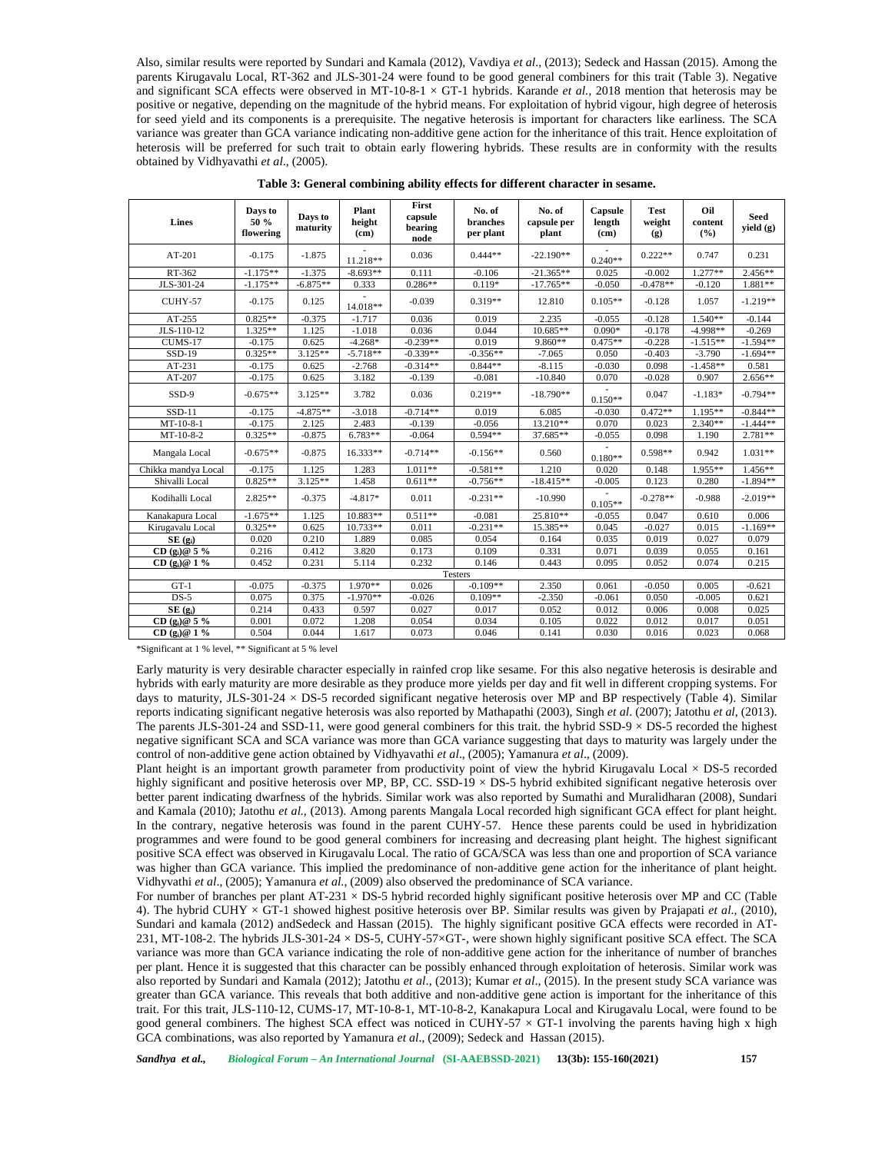Also, similar results were reported by Sundari and Kamala (2012), Vavdiya *et al*., (2013); Sedeck and Hassan (2015). Among the parents Kirugavalu Local, RT-362 and JLS-301-24 were found to be good general combiners for this trait (Table 3). Negative and significant SCA effects were observed in MT-10-8-1  $\times$  GT-1 hybrids. Karande *et al.*, 2018 mention that heterosis may be positive or negative, depending on the magnitude of the hybrid means. For exploitation of hybrid vigour, high degree of heterosis for seed yield and its components is a prerequisite. The negative heterosis is important for characters like earliness. The SCA variance was greater than GCA variance indicating non-additive gene action for the inheritance of this trait. Hence exploitation of heterosis will be preferred for such trait to obtain early flowering hybrids. These results are in conformity with the results obtained by Vidhyavathi *et al*., (2005).

| Lines               | Days to<br>50 %<br>flowering | Days to<br>maturity | Plant<br>height<br>(cm) | First<br>capsule<br>bearing<br>node | No. of<br>branches<br>per plant | No. of<br>capsule per<br>plant | Capsule<br>length<br>(c <sub>m</sub> ) | <b>Test</b><br>weight<br>(g) | Oil<br>content<br>(%) | <b>Seed</b><br>yield (g) |
|---------------------|------------------------------|---------------------|-------------------------|-------------------------------------|---------------------------------|--------------------------------|----------------------------------------|------------------------------|-----------------------|--------------------------|
| $AT-201$            | $-0.175$                     | $-1.875$            | 11.218**                | 0.036                               | $0.444**$                       | $-22.190**$                    | $0.240**$                              | $0.222**$                    | 0.747                 | 0.231                    |
| RT-362              | $-1.175**$                   | $-1.375$            | $-8.693**$              | 0.111                               | $-0.106$                        | $-21.365**$                    | 0.025                                  | $-0.002$                     | $1.277**$             | $2.456**$                |
| JLS-301-24          | $-1.175**$                   | $-6.875**$          | 0.333                   | $0.286**$                           | $0.119*$                        | $-17.765**$                    | $-0.050$                               | $-0.478**$                   | $-0.120$              | 1.881**                  |
| CUHY-57             | $-0.175$                     | 0.125               | 14.018**                | $-0.039$                            | $0.319**$                       | 12.810                         | $0.105**$                              | $-0.128$                     | 1.057                 | $-1.219**$               |
| AT-255              | $0.825**$                    | $-0.375$            | $-1.717$                | 0.036                               | 0.019                           | 2.235                          | $-0.055$                               | $-0.128$                     | $1.540**$             | $-0.144$                 |
| JLS-110-12          | $1.325**$                    | 1.125               | $-1.018$                | 0.036                               | 0.044                           | $10.685**$                     | $0.090*$                               | $-0.178$                     | $-4.998**$            | $-0.269$                 |
| CUMS-17             | $-0.175$                     | 0.625               | $-4.268*$               | $-0.239**$                          | 0.019                           | $9.860**$                      | $0.475**$                              | $-0.228$                     | $-1.515**$            | $-1.594**$               |
| SSD-19              | $0.325**$                    | $3.125**$           | $-5.718**$              | $-0.339**$                          | $-0.356**$                      | $-7.065$                       | 0.050                                  | $-0.403$                     | $-3.790$              | $-1.694**$               |
| AT-231              | $-0.175$                     | 0.625               | $-2.768$                | $-0.314**$                          | $0.844**$                       | $-8.115$                       | $-0.030$                               | 0.098                        | $-1.458**$            | 0.581                    |
| AT-207              | $-0.175$                     | 0.625               | 3.182                   | $-0.139$                            | $-0.081$                        | $-10.840$                      | 0.070                                  | $-0.028$                     | 0.907                 | $2.656**$                |
| SSD-9               | $-0.675**$                   | $3.125**$           | 3.782                   | 0.036                               | $0.219**$                       | $-18.790**$                    | $0.150**$                              | 0.047                        | $-1.183*$             | $-0.794**$               |
| $SSD-11$            | $-0.175$                     | $-4.875**$          | $-3.018$                | $-0.714**$                          | 0.019                           | 6.085                          | $-0.030$                               | $0.472**$                    | $1.195**$             | $-0.844**$               |
| $MT-10-8-1$         | $-0.175$                     | 2.125               | 2.483                   | $-0.139$                            | $-0.056$                        | $13.210**$                     | 0.070                                  | 0.023                        | $2.340**$             | $-1.444**$               |
| MT-10-8-2           | $0.325**$                    | $-0.875$            | $6.783**$               | $-0.064$                            | $0.594**$                       | 37.685**                       | $-0.055$                               | 0.098                        | 1.190                 | $2.781**$                |
| Mangala Local       | $-0.675**$                   | $-0.875$            | $16.333**$              | $-0.714**$                          | $-0.156**$                      | 0.560                          | $0.180**$                              | $0.598**$                    | 0.942                 | $1.031**$                |
| Chikka mandya Local | $-0.175$                     | 1.125               | 1.283                   | $1.011**$                           | $-0.581**$                      | 1.210                          | 0.020                                  | 0.148                        | $1.955**$             | $1.456**$                |
| Shivalli Local      | $0.825**$                    | $3.125**$           | 1.458                   | $0.611**$                           | $-0.756**$                      | $-18.415**$                    | $-0.005$                               | 0.123                        | 0.280                 | $-1.894**$               |
| Kodihalli Local     | $2.825**$                    | $-0.375$            | $-4.817*$               | 0.011                               | $-0.231**$                      | $-10.990$                      | $0.105**$                              | $-0.278**$                   | $-0.988$              | $-2.019**$               |
| Kanakapura Local    | $-1.675**$                   | 1.125               | 10.883**                | $0.511**$                           | $-0.081$                        | 25.810**                       | $-0.055$                               | 0.047                        | 0.610                 | 0.006                    |
| Kirugavalu Local    | $0.325**$                    | 0.625               | $10.733**$              | 0.011                               | $-0.231**$                      | 15.385**                       | 0.045                                  | $-0.027$                     | 0.015                 | $-1.169**$               |
| $SE(g_i)$           | 0.020                        | 0.210               | 1.889                   | 0.085                               | 0.054                           | 0.164                          | 0.035                                  | 0.019                        | 0.027                 | 0.079                    |
| CD $(g_i)$ @ 5 %    | 0.216                        | 0.412               | 3.820                   | 0.173                               | 0.109                           | 0.331                          | 0.071                                  | 0.039                        | 0.055                 | 0.161                    |
| CD $(g_i)$ @ 1 %    | 0.452                        | 0.231               | 5.114                   | 0.232                               | 0.146                           | 0.443                          | 0.095                                  | 0.052                        | 0.074                 | 0.215                    |
|                     |                              |                     |                         |                                     | Testers                         |                                |                                        |                              |                       |                          |
| $GT-1$              | $-0.075$                     | $-0.375$            | 1.970**                 | 0.026                               | $-0.109**$                      | 2.350                          | 0.061                                  | $-0.050$                     | 0.005                 | $-0.621$                 |
| $DS-5$              | 0.075                        | 0.375               | $-1.970**$              | $-0.026$                            | $0.109**$                       | $-2.350$                       | $-0.061$                               | 0.050                        | $-0.005$              | 0.621                    |
| SE(2)               | 0.214                        | 0.433               | 0.597                   | 0.027                               | 0.017                           | 0.052                          | 0.012                                  | 0.006                        | 0.008                 | 0.025                    |
| CD $(g_i)$ @ 5 %    | 0.001                        | 0.072               | 1.208                   | 0.054                               | 0.034                           | 0.105                          | 0.022                                  | 0.012                        | 0.017                 | 0.051                    |
| CD $(g_i)$ @ 1 %    | 0.504                        | 0.044               | 1.617                   | 0.073                               | 0.046                           | 0.141                          | 0.030                                  | 0.016                        | 0.023                 | 0.068                    |

**Table 3: General combining ability effects for different character in sesame.**

\*Significant at 1 % level, \*\* Significant at 5 % level

Early maturity is very desirable character especially in rainfed crop like sesame. For this also negative heterosis is desirable and hybrids with early maturity are more desirable as they produce more yields per day and fit well in different cropping systems. For days to maturity, JLS-301-24  $\times$  DS-5 recorded significant negative heterosis over MP and BP respectively (Table 4). Similar reports indicating significant negative heterosis was also reported by Mathapathi (2003), Singh *et al*. (2007); Jatothu *et al*, (2013). The parents JLS-301-24 and SSD-11, were good general combiners for this trait. the hybrid SSD-9  $\times$  DS-5 recorded the highest negative significant SCA and SCA variance was more than GCA variance suggesting that days to maturity was largely under the control of non-additive gene action obtained by Vidhyavathi *et al*., (2005); Yamanura *et al*., (2009).

Plant height is an important growth parameter from productivity point of view the hybrid Kirugavalu Local  $\times$  DS-5 recorded highly significant and positive heterosis over MP, BP, CC. SSD-19 × DS-5 hybrid exhibited significant negative heterosis over better parent indicating dwarfness of the hybrids. Similar work was also reported by Sumathi and Muralidharan (2008), Sundari and Kamala (2010); Jatothu *et al.,* (2013). Among parents Mangala Local recorded high significant GCA effect for plant height. In the contrary, negative heterosis was found in the parent CUHY-57. Hence these parents could be used in hybridization programmes and were found to be good general combiners for increasing and decreasing plant height. The highest significant positive SCA effect was observed in Kirugavalu Local. The ratio of GCA/SCA was less than one and proportion of SCA variance was higher than GCA variance. This implied the predominance of non-additive gene action for the inheritance of plant height. Vidhyvathi *et al*., (2005); Yamanura *et al*., (2009) also observed the predominance of SCA variance.

For number of branches per plant AT-231  $\times$  DS-5 hybrid recorded highly significant positive heterosis over MP and CC (Table 4). The hybrid CUHY × GT-1 showed highest positive heterosis over BP. Similar results was given by Prajapati *et al*., (2010), Sundari and kamala (2012) andSedeck and Hassan (2015). The highly significant positive GCA effects were recorded in AT- 231, MT-108-2. The hybrids JLS-301-24 × DS-5, CUHY-57×GT-, were shown highly significant positive SCA effect. The SCA variance was more than GCA variance indicating the role of non-additive gene action for the inheritance of number of branches per plant. Hence it is suggested that this character can be possibly enhanced through exploitation of heterosis. Similar work was also reported by Sundari and Kamala (2012); Jatothu *et al*., (2013); Kumar *et al*., (2015). In the present study SCA variance was greater than GCA variance. This reveals that both additive and non-additive gene action is important for the inheritance of this trait. For this trait, JLS-110-12, CUMS-17, MT-10-8-1, MT-10-8-2, Kanakapura Local and Kirugavalu Local, were found to be good general combiners. The highest SCA effect was noticed in CUHY-57  $\times$  GT-1 involving the parents having high x high GCA combinations, was also reported by Yamanura *et al*., (2009); Sedeck and Hassan (2015).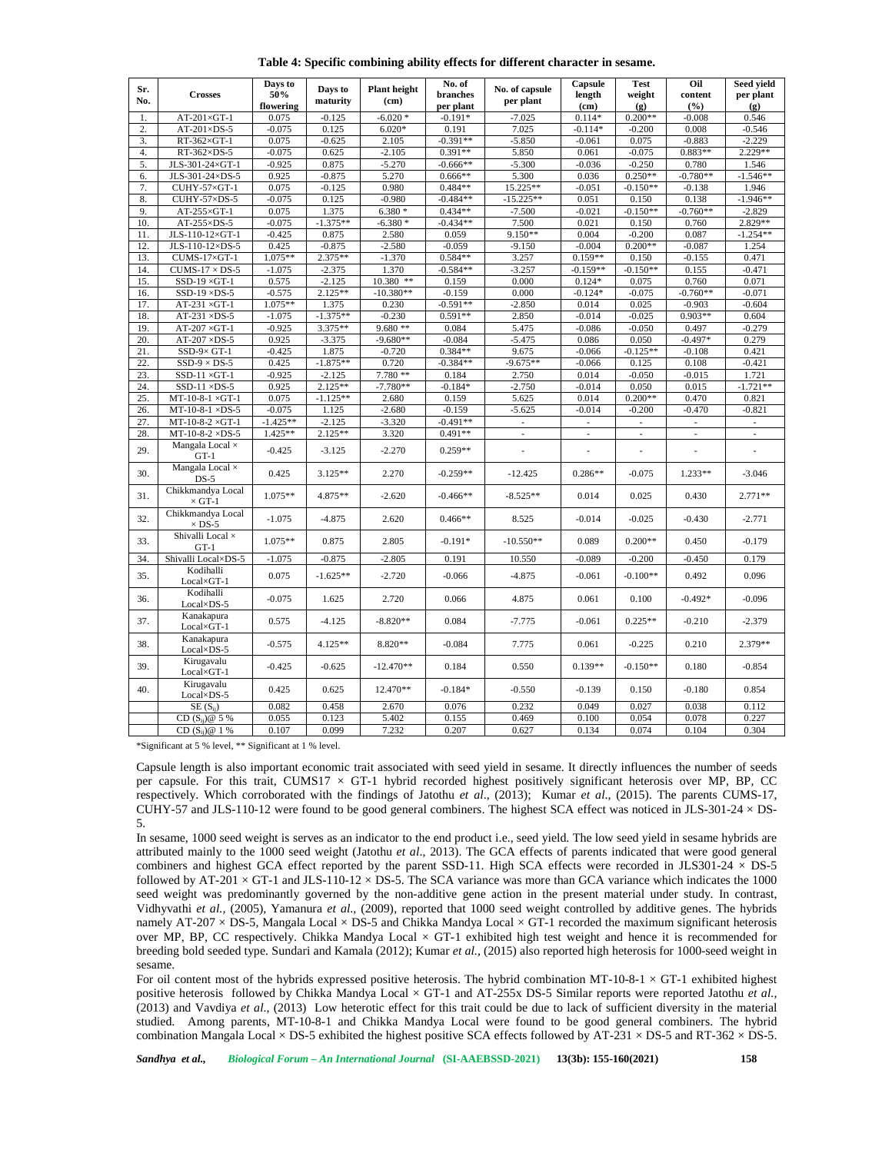**Table 4: Specific combining ability effects for different character in sesame.**

| Sr.<br>No.       | <b>Crosses</b>                     | Days to<br>50%<br>flowering | Days to<br>maturity | <b>Plant</b> height<br>(c <sub>m</sub> ) | No. of<br>branches<br>per plant | No. of capsule<br>per plant | Capsule<br>length<br>(cm) | <b>Test</b><br>weight<br>(g) | Oil<br>content<br>(%)    | Seed yield<br>per plant<br>(g) |
|------------------|------------------------------------|-----------------------------|---------------------|------------------------------------------|---------------------------------|-----------------------------|---------------------------|------------------------------|--------------------------|--------------------------------|
| $\mathbf{1}$     | $AT-201\times GT-1$                | 0.075                       | $-0.125$            | $-6.020*$                                | $-0.191*$                       | $-7.025$                    | $0.114*$                  | $0.200**$                    | $-0.008$                 | 0.546                          |
| $\overline{2}$ . | $AT-201\times DS-5$                | $-0.075$                    | 0.125               | $6.020*$                                 | 0.191                           | 7.025                       | $-0.114*$                 | $-0.200$                     | 0.008                    | $-0.546$                       |
| 3.               | $RT-362\times GT-1$                | 0.075                       | $-0.625$            | 2.105                                    | $-0.391**$                      | $-5.850$                    | $-0.061$                  | 0.075                        | $-0.883$                 | $-2.229$                       |
| 4.               | $RT-362\times DS-5$                | $-0.075$                    | 0.625               | $-2.105$                                 | $0.391**$                       | 5.850                       | 0.061                     | $-0.075$                     | $0.883**$                | $2.229**$                      |
| 5.               | JLS-301-24×GT-1                    | $-0.925$                    | 0.875               | $-5.270$                                 | $-0.666**$                      | $-5.300$                    | $-0.036$                  | $-0.250$                     | 0.780                    | 1.546                          |
| 6.               | JLS-301-24×DS-5                    | 0.925                       | $-0.875$            | 5.270                                    | $0.666**$                       | 5.300                       | 0.036                     | $0.250**$                    | $-0.780**$               | $-1.546**$                     |
| 7.               | CUHY-57×GT-1                       | 0.075                       | $-0.125$            | 0.980                                    | $0.484**$                       | 15.225**                    | $-0.051$                  | $-0.150**$                   | $-0.138$                 | 1.946                          |
| 8.               | CUHY-57×DS-5                       | $-0.075$                    | 0.125               | $-0.980$                                 | $-0.484**$                      | $-15.225**$                 | 0.051                     | 0.150                        | 0.138                    | $-1.946**$                     |
| 9.               | $AT-255\times GT-1$                | 0.075                       | 1.375               | $6.380*$                                 | $0.434**$                       | $-7.500$                    | $-0.021$                  | $-0.150**$                   | $-0.760**$               | $-2.829$                       |
| 10.              | $AT-255\times DS-5$                | $-0.075$                    | $-1.375**$          | $-6.380*$                                | $-0.434**$                      | 7.500                       | 0.021                     | 0.150                        | 0.760                    | 2.829**                        |
| 11.              | JLS-110-12×GT-1                    | $-0.425$                    | 0.875               | 2.580                                    | 0.059                           | $9.150**$                   | 0.004                     | $-0.200$                     | 0.087                    | $-1.254**$                     |
| 12.              | JLS-110-12×DS-5                    | 0.425                       | $-0.875$            | $-2.580$                                 | $-0.059$                        | $-9.150$                    | $-0.004$                  | $0.200**$                    | $-0.087$                 | 1.254                          |
| 13.              | CUMS-17×GT-1                       | $1.075**$                   | 2.375**             | $-1.370$                                 | $0.584**$                       | 3.257                       | $0.159**$                 | 0.150                        | $-0.155$                 | 0.471                          |
| 14.              | $CUMS-17 \times DS-5$              | $-1.075$                    | $-2.375$            | 1.370                                    | $-0.584**$                      | $-3.257$                    | $-0.159**$                | $-0.150**$                   | 0.155                    | $-0.471$                       |
| 15.              | $SSD-19 \times GT-1$               | 0.575                       | $-2.125$            | 10.380 **                                | 0.159                           | 0.000                       | $0.124*$                  | 0.075                        | 0.760                    | 0.071                          |
| 16.              | $SSD-19 \times DS-5$               | $-0.575$                    | $2.125**$           | $-10.380**$                              | $-0.159$                        | 0.000                       | $-0.124*$                 | $-0.075$                     | $-0.760**$               | $-0.071$                       |
| 17.              | $AT-231 \times GT-1$               | $1.075**$                   | 1.375               | 0.230                                    | $-0.591**$                      | $-2.850$                    | 0.014                     | 0.025                        | $-0.903$                 | $-0.604$                       |
| 18.              | $AT-231 \times DS-5$               | $-1.075$                    | $-1.375**$          | $-0.230$                                 | $0.591**$                       | 2.850                       | $-0.014$                  | $-0.025$                     | $0.903**$                | 0.604                          |
| 19.              | $AT-207 \times GT-1$               | $-0.925$                    | 3.375**             | $9.680**$                                | 0.084                           | 5.475                       | $-0.086$                  | $-0.050$                     | 0.497                    | $-0.279$                       |
| 20.              | $AT-207 \times DS-5$               | 0.925                       | $-3.375$            | $-9.680**$                               | $-0.084$                        | $-5.475$                    | 0.086                     | 0.050                        | $-0.497*$                | 0.279                          |
| 21.              | $SSD-9\times GT-1$                 | $-0.425$                    | 1.875               | $-0.720$                                 | $0.384**$                       | 9.675                       | $-0.066$                  | $-0.125**$                   | $-0.108$                 | 0.421                          |
| 22.              | $SSD-9 \times DS-5$                | 0.425                       | $-1.875**$          | 0.720                                    | $-0.384**$                      | $-9.675**$                  | $-0.066$                  | 0.125                        | 0.108                    | $-0.421$                       |
| 23.              | $SSD-11 \times GT-1$               | $-0.925$                    | $-2.125$            | 7.780 **                                 | 0.184                           | 2.750                       | 0.014                     | $-0.050$                     | $-0.015$                 | 1.721                          |
| 24.              | SSD-11 $\times$ DS-5               | 0.925                       | $2.125**$           | $-7.780**$                               | $-0.184*$                       | $-2.750$                    | $-0.014$                  | 0.050                        | 0.015                    | $-1.721**$                     |
|                  |                                    | 0.075                       | $-1.125**$          |                                          |                                 |                             | 0.014                     | $0.200**$                    | 0.470                    |                                |
| 25.              | $MT-10-8-1 \times GT-1$            | $-0.075$                    |                     | 2.680                                    | 0.159                           | 5.625                       |                           |                              | $-0.470$                 | 0.821                          |
| 26.              | $MT-10-8-1 \times DS-5$            |                             | 1.125               | $-2.680$                                 | $-0.159$                        | $-5.625$                    | $-0.014$                  | $-0.200$                     |                          | $-0.821$                       |
| 27.              | $MT-10-8-2 \times GT-1$            | $-1.425**$                  | $-2.125$            | $-3.320$                                 | $-0.491**$                      | ÷.                          | L.                        |                              |                          | $\overline{\phantom{a}}$       |
| 28.              | $MT-10-8-2 \times DS-5$            | $1.425**$                   | $2.125**$           | 3.320                                    | $0.491**$                       | $\sim$                      | $\overline{\phantom{a}}$  | ÷,                           | $\overline{\phantom{a}}$ | $\overline{\phantom{a}}$       |
| 29.              | Mangala Local $\times$<br>$GT-1$   | $-0.425$                    | $-3.125$            | $-2.270$                                 | $0.259**$                       | ä,                          |                           |                              | Î,                       | ä,                             |
| 30.              | Mangala Local $\times$<br>$DS-5$   | 0.425                       | $3.125**$           | 2.270                                    | $-0.259**$                      | $-12.425$                   | $0.286**$                 | $-0.075$                     | $1.233**$                | $-3.046$                       |
| 31.              | Chikkmandya Local<br>$\times$ GT-1 | $1.075**$                   | 4.875**             | $-2.620$                                 | $-0.466**$                      | $-8.525**$                  | 0.014                     | 0.025                        | 0.430                    | $2.771**$                      |
| 32.              | Chikkmandya Local<br>$\times$ DS-5 | $-1.075$                    | $-4.875$            | 2.620                                    | $0.466**$                       | 8.525                       | $-0.014$                  | $-0.025$                     | $-0.430$                 | $-2.771$                       |
| 33.              | Shivalli Local $\times$<br>$GT-1$  | $1.075**$                   | 0.875               | 2.805                                    | $-0.191*$                       | $-10.550**$                 | 0.089                     | $0.200**$                    | 0.450                    | $-0.179$                       |
| 34.              | Shivalli Local×DS-5                | $-1.075$                    | $-0.875$            | $-2.805$                                 | 0.191                           | 10.550                      | $-0.089$                  | $-0.200$                     | $-0.450$                 | 0.179                          |
| 35.              | Kodihalli<br>$Local \times GT-1$   | 0.075                       | $-1.625**$          | $-2.720$                                 | $-0.066$                        | $-4.875$                    | $-0.061$                  | $-0.100**$                   | 0.492                    | 0.096                          |
| 36.              | Kodihalli<br>Local×DS-5            | $-0.075$                    | 1.625               | 2.720                                    | 0.066                           | 4.875                       | 0.061                     | 0.100                        | $-0.492*$                | $-0.096$                       |
| 37.              | Kanakapura<br>Local×GT-1           | 0.575                       | $-4.125$            | $-8.820**$                               | 0.084                           | $-7.775$                    | $-0.061$                  | $0.225**$                    | $-0.210$                 | $-2.379$                       |
| 38.              | Kanakapura<br>Local×DS-5           | $-0.575$                    | $4.125**$           | 8.820**                                  | $-0.084$                        | 7.775                       | 0.061                     | $-0.225$                     | 0.210                    | $2.379**$                      |
| 39.              | Kirugavalu<br>$Local \times GT-1$  | $-0.425$                    | $-0.625$            | $-12.470**$                              | 0.184                           | 0.550                       | $0.139**$                 | $-0.150**$                   | 0.180                    | $-0.854$                       |
| 40.              | Kirugavalu<br>$Local \times DS-5$  | 0.425                       | 0.625               | 12.470**                                 | $-0.184*$                       | $-0.550$                    | $-0.139$                  | 0.150                        | $-0.180$                 | 0.854                          |
|                  | $SE(S_{ii})$                       | 0.082                       | 0.458               | 2.670                                    | 0.076                           | 0.232                       | 0.049                     | 0.027                        | 0.038                    | 0.112                          |
|                  | $CD(S_{ij})@5%$                    | 0.055                       | 0.123               | 5.402                                    | 0.155                           | 0.469                       | 0.100                     | 0.054                        | 0.078                    | 0.227                          |
|                  |                                    |                             |                     |                                          |                                 |                             |                           |                              |                          |                                |

\*Significant at 5 % level, \*\* Significant at 1 % level.

Capsule length is also important economic trait associated with seed yield in sesame. It directly influences the number of seeds per capsule. For this trait, CUMS17  $\times$  GT-1 hybrid recorded highest positively significant heterosis over MP, BP, CC respectively. Which corroborated with the findings of Jatothu *et al*., (2013); Kumar *et al*., (2015). The parents CUMS-17, CUHY-57 and JLS-110-12 were found to be good general combiners. The highest SCA effect was noticed in JLS-301-24  $\times$  DS-5.

In sesame, 1000 seed weight is serves as an indicator to the end product i.e., seed yield. The low seed yield in sesame hybrids are attributed mainly to the 1000 seed weight (Jatothu *et al*., 2013). The GCA effects of parents indicated that were good general combiners and highest GCA effect reported by the parent SSD-11. High SCA effects were recorded in JLS301-24  $\times$  DS-5 followed by AT-201  $\times$  GT-1 and JLS-110-12  $\times$  DS-5. The SCA variance was more than GCA variance which indicates the 1000 seed weight was predominantly governed by the non-additive gene action in the present material under study. In contrast, Vidhyvathi *et al.,* (2005), Yamanura *et al*., (2009), reported that 1000 seed weight controlled by additive genes. The hybrids namely AT-207  $\times$  DS-5, Mangala Local  $\times$  DS-5 and Chikka Mandya Local  $\times$  GT-1 recorded the maximum significant heterosis over MP, BP, CC respectively. Chikka Mandya Local  $\times$  GT-1 exhibited high test weight and hence it is recommended for breeding bold seeded type. Sundari and Kamala (2012); Kumar *et al.,* (2015) also reported high heterosis for 1000-seed weight in sesame.

For oil content most of the hybrids expressed positive heterosis. The hybrid combination MT-10-8-1  $\times$  GT-1 exhibited highest positive heterosis followed by Chikka Mandya Local × GT-1 and AT-255x DS-5 Similar reports were reported Jatothu *et al.,* (2013) and Vavdiya *et al*., (2013) Low heterotic effect for this trait could be due to lack of sufficient diversity in the material studied. Among parents, MT-10-8-1 and Chikka Mandya Local were found to be good general combiners. The hybrid combination Mangala Local × DS-5 exhibited the highest positive SCA effects followed by AT-231 × DS-5 and RT-362 × DS-5.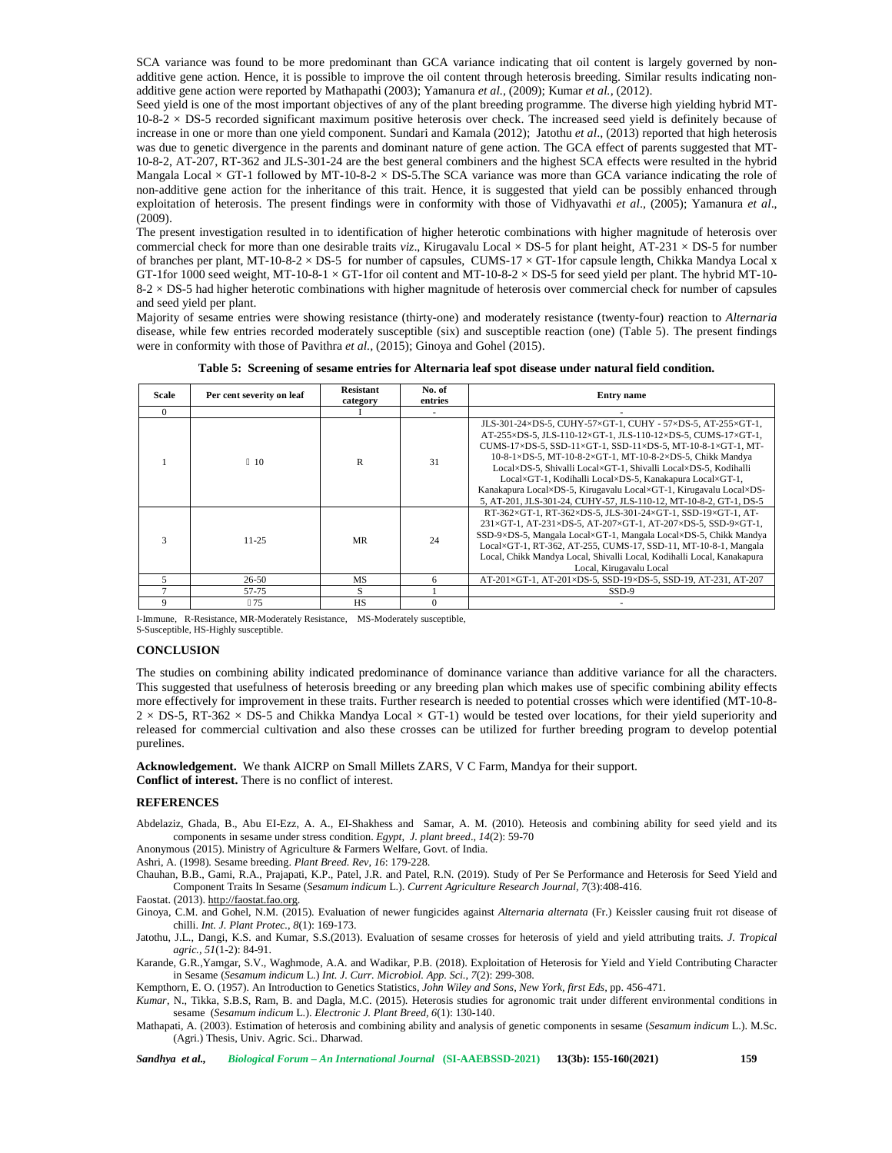SCA variance was found to be more predominant than GCA variance indicating that oil content is largely governed by nonadditive gene action. Hence, it is possible to improve the oil content through heterosis breeding. Similar results indicating non additive gene action were reported by Mathapathi (2003); Yamanura *et al.,* (2009); Kumar *et al.,* (2012).

Seed yield is one of the most important objectives of any of the plant breeding programme. The diverse high yielding hybrid MT-  $10-8-2 \times DS-5$  recorded significant maximum positive heterosis over check. The increased seed yield is definitely because of increase in one or more than one yield component. Sundari and Kamala (2012); Jatothu *et al*., (2013) reported that high heterosis was due to genetic divergence in the parents and dominant nature of gene action. The GCA effect of parents suggested that MT- 10-8-2, AT-207, RT-362 and JLS-301-24 are the best general combiners and the highest SCA effects were resulted in the hybrid Mangala Local  $\times$  GT-1 followed by MT-10-8-2  $\times$  DS-5. The SCA variance was more than GCA variance indicating the role of non-additive gene action for the inheritance of this trait. Hence, it is suggested that yield can be possibly enhanced through exploitation of heterosis. The present findings were in conformity with those of Vidhyavathi *et al*., (2005); Yamanura *et al*., (2009).

The present investigation resulted in to identification of higher heterotic combinations with higher magnitude of heterosis over commercial check for more than one desirable traits *viz*., Kirugavalu Local × DS-5 for plant height, AT-231 × DS-5 for number of branches per plant, MT-10-8-2  $\times$  DS-5 for number of capsules, CUMS-17  $\times$  GT-1for capsule length, Chikka Mandya Local x GT-1for 1000 seed weight, MT-10-8-1  $\times$  GT-1for oil content and MT-10-8-2  $\times$  DS-5 for seed yield per plant. The hybrid MT-10- $8-2 \times DS-5$  had higher heterotic combinations with higher magnitude of heterosis over commercial check for number of capsules and seed yield per plant.

Majority of sesame entries were showing resistance (thirty-one) and moderately resistance (twenty-four) reaction to *Alternaria* disease, while few entries recorded moderately susceptible (six) and susceptible reaction (one) (Table 5). The present findings were in conformity with those of Pavithra *et al.,* (2015); Ginoya and Gohel (2015).

**Table 5: Screening of sesame entries for Alternaria leaf spot disease under natural field condition.**

| Scale    | Per cent severity on leaf | <b>Resistant</b><br>category | No. of<br>entries | <b>Entry</b> name                                                                                                                                                                                                                                                                                                                                                                                                                                                                                                                 |
|----------|---------------------------|------------------------------|-------------------|-----------------------------------------------------------------------------------------------------------------------------------------------------------------------------------------------------------------------------------------------------------------------------------------------------------------------------------------------------------------------------------------------------------------------------------------------------------------------------------------------------------------------------------|
| $\Omega$ |                           |                              |                   |                                                                                                                                                                                                                                                                                                                                                                                                                                                                                                                                   |
|          | 10                        | R                            | 31                | JLS-301-24×DS-5, CUHY-57×GT-1, CUHY - 57×DS-5, AT-255×GT-1,<br>AT-255×DS-5, JLS-110-12×GT-1, JLS-110-12×DS-5, CUMS-17×GT-1,<br>CUMS-17×DS-5, SSD-11×GT-1, SSD-11×DS-5, MT-10-8-1×GT-1, MT-<br>10-8-1×DS-5, MT-10-8-2×GT-1, MT-10-8-2×DS-5, Chikk Mandya<br>Local×DS-5, Shivalli Local×GT-1, Shivalli Local×DS-5, Kodihalli<br>Local×GT-1, Kodihalli Local×DS-5, Kanakapura Local×GT-1,<br>Kanakapura Local×DS-5, Kirugavalu Local×GT-1, Kirugavalu Local×DS-<br>5, AT-201, JLS-301-24, CUHY-57, JLS-110-12, MT-10-8-2, GT-1, DS-5 |
| 3        | $11 - 25$                 | MR                           | 24                | RT-362×GT-1, RT-362×DS-5, JLS-301-24×GT-1, SSD-19×GT-1, AT-<br>$231\times GT-1$ , AT-231×DS-5, AT-207×GT-1, AT-207×DS-5, SSD-9×GT-1,<br>SSD-9×DS-5, Mangala Local×GT-1, Mangala Local×DS-5, Chikk Mandya<br>Local×GT-1, RT-362, AT-255, CUMS-17, SSD-11, MT-10-8-1, Mangala<br>Local, Chikk Mandya Local, Shivalli Local, Kodihalli Local, Kanakapura<br>Local, Kirugavalu Local                                                                                                                                                  |
| 5        | $26 - 50$                 | MS                           | 6                 | AT-201×GT-1, AT-201×DS-5, SSD-19×DS-5, SSD-19, AT-231, AT-207                                                                                                                                                                                                                                                                                                                                                                                                                                                                     |
|          | 57-75                     | S                            |                   | $SSD-9$                                                                                                                                                                                                                                                                                                                                                                                                                                                                                                                           |
| 9        | 75                        | <b>HS</b>                    |                   |                                                                                                                                                                                                                                                                                                                                                                                                                                                                                                                                   |

I-Immune, R-Resistance, MR-Moderately Resistance, MS-Moderately susceptible, S-Susceptible, HS-Highly susceptible.

## **CONCLUSION**

The studies on combining ability indicated predominance of dominance variance than additive variance for all the characters. This suggested that usefulness of heterosis breeding or any breeding plan which makes use of specific combining ability effects more effectively for improvement in these traits. Further research is needed to potential crosses which were identified (MT-10-8-  $2 \times$  DS-5, RT-362  $\times$  DS-5 and Chikka Mandya Local  $\times$  GT-1) would be tested over locations, for their yield superiority and released for commercial cultivation and also these crosses can be utilized for further breeding program to develop potential purelines.

**Acknowledgement.** We thank AICRP on Small Millets ZARS, V C Farm, Mandya for their support. **Conflict of interest.** There is no conflict of interest.

## **REFERENCES**

Abdelaziz, Ghada, B., Abu EI-Ezz, A. A., EI-Shakhess and Samar, A. M. (2010). Heteosis and combining ability for seed yield and its components in sesame under stress condition. *Egypt, J. plant breed*., *14*(2): 59-70

Anonymous (2015). Ministry of Agriculture & Farmers Welfare, Govt. of India.

Ashri, A. (1998). Sesame breeding. *Plant Breed. Rev*, *16*: 179-228.

Chauhan, B.B., Gami, R.A., Prajapati, K.P., Patel, J.R. and Patel, R.N. (2019). Study of Per Se Performance and Heterosis for Seed Yield and Component Traits In Sesame (*Sesamum indicum* L.). *Current Agriculture Research Journal, 7*(3):408-416.

Faostat. (2013). <http://faostat.fao.org>.

Ginoya, C.M. and Gohel, N.M. (2015). Evaluation of newer fungicides against *Alternaria alternata* (Fr.) Keissler causing fruit rot disease of chilli. *Int. J. Plant Protec., 8*(1): 169-173.

Jatothu, J.L., Dangi, K.S. and Kumar, S.S.(2013). Evaluation of sesame crosses for heterosis of yield and yield attributing traits. *J. Tropical agric., 51*(1-2): 84-91.

Karande, G.R.,Yamgar, S.V., Waghmode, A.A. and Wadikar, P.B. (2018). Exploitation of Heterosis for Yield and Yield Contributing Character in Sesame (*Sesamum indicum* L.) *Int. J. Curr. Microbiol. App. Sci.*, *7*(2): 299-308.

Kempthorn, E. O. (1957). An Introduction to Genetics Statistics, *John Wiley and Sons, New York, first Eds,* pp. 456-471.

*Kumar*, N., Tikka, S.B.S, Ram, B. and Dagla, M.C. (2015). Heterosis studies for agronomic trait under different environmental conditions in sesame (*Sesamum indicum* L.). *Electronic J. Plant Breed, 6*(1): 130-140.

Mathapati, A. (2003). Estimation of heterosis and combining ability and analysis of genetic components in sesame (*Sesamum indicum* L.). M.Sc. (Agri.) Thesis, Univ. Agric. Sci.. Dharwad.

*Sandhya et al., Biological Forum – An International Journal* **(SI-AAEBSSD-2021) 13(3b): 155-160(2021) 159**